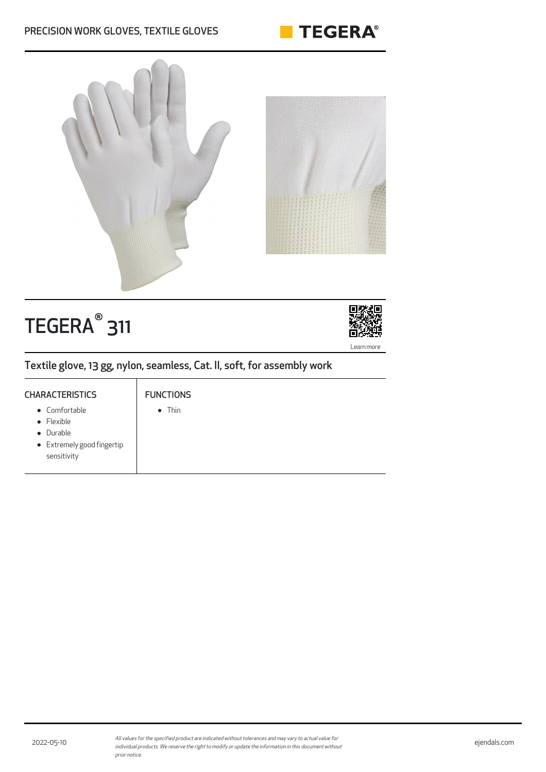### PRECISION WORK GLOVES, TEXTILE GLOVES





# TEGERA® 311



Textile glove, 13 gg, nylon, seamless, Cat. II, soft, for assembly work

## **CHARACTERISTICS** Comfortable

FUNCTIONS

- $\bullet$  Thin
- Flexible
- Durable
- Extremely good fingertip sensitivity